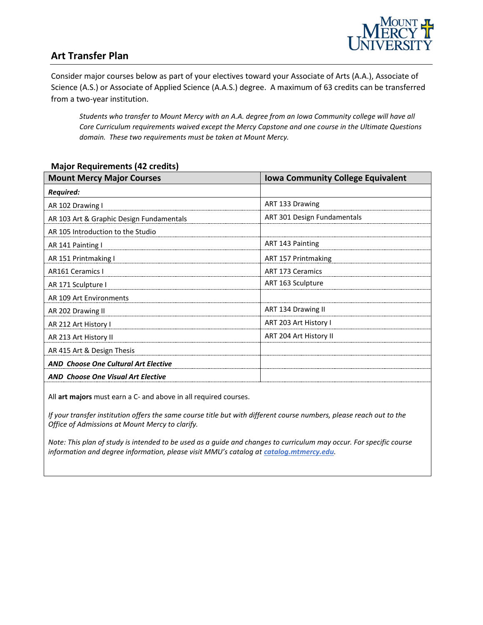

## **Art Transfer Plan**

Consider major courses below as part of your electives toward your Associate of Arts (A.A.), Associate of Science (A.S.) or Associate of Applied Science (A.A.S.) degree. A maximum of 63 credits can be transferred from a two-year institution.

*Students who transfer to Mount Mercy with an A.A. degree from an Iowa Community college will have all Core Curriculum requirements waived except the Mercy Capstone and one course in the Ultimate Questions domain. These two requirements must be taken at Mount Mercy.* 

#### **Major Requirements (42 credits)**

| <b>Mount Mercy Major Courses</b>            | <b>Iowa Community College Equivalent</b> |
|---------------------------------------------|------------------------------------------|
| <b>Required:</b>                            |                                          |
| AR 102 Drawing I                            | ART 133 Drawing                          |
| AR 103 Art & Graphic Design Fundamentals    | ART 301 Design Fundamentals              |
| AR 105 Introduction to the Studio           |                                          |
| AR 141 Painting I                           | ART 143 Painting                         |
| AR 151 Printmaking I                        | ART 157 Printmaking                      |
| <b>AR161 Ceramics I</b>                     | <b>ART 173 Ceramics</b>                  |
| AR 171 Sculpture I                          | ART 163 Sculpture                        |
| AR 109 Art Environments                     |                                          |
| AR 202 Drawing II                           | ART 134 Drawing II                       |
| AR 212 Art History I                        | ART 203 Art History I                    |
| AR 213 Art History II                       | ART 204 Art History II                   |
| AR 415 Art & Design Thesis                  |                                          |
| <b>AND Choose One Cultural Art Elective</b> |                                          |
| <b>AND Choose One Visual Art Elective</b>   |                                          |

All **art majors** must earn a C- and above in all required courses.

*If your transfer institution offers the same course title but with different course numbers, please reach out to the Office of Admissions at Mount Mercy to clarify.*

*Note: This plan of study is intended to be used as a guide and changes to curriculum may occur. For specific course*  information and degree information, please visit MMU's catalog at *catalog.mtmercy.edu*.